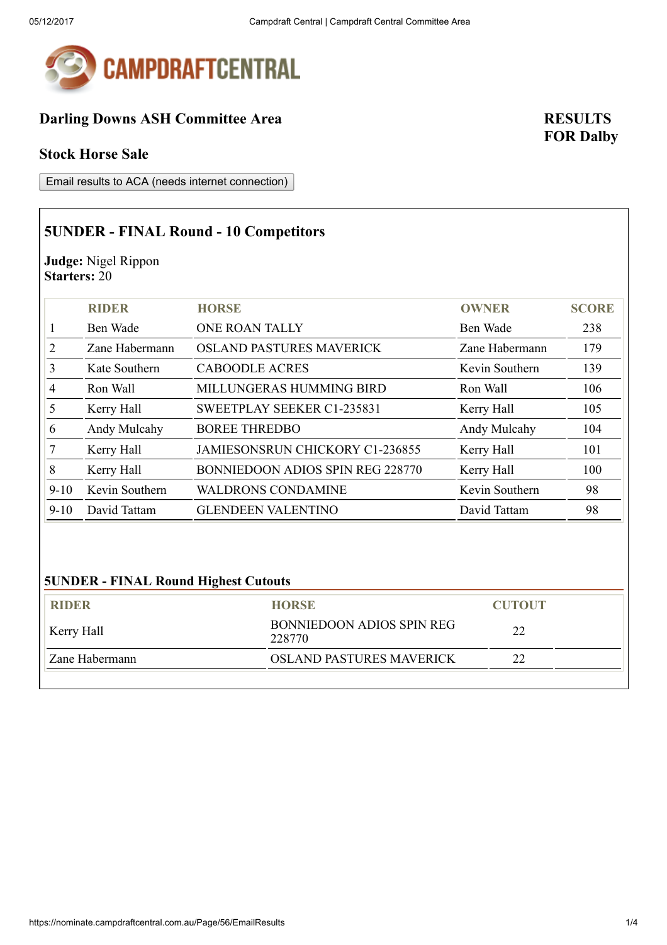

## Darling Downs ASH Committee Area RESULTS

#### Stock Horse Sale

Email results to ACA (needs internet connection)

## 5UNDER - FINAL Round - 10 Competitors

Judge: Nigel Rippon Starters: 20

|                             | <b>RIDER</b>   | <b>HORSE</b>                     | <b>OWNER</b>   | <b>SCORE</b> |
|-----------------------------|----------------|----------------------------------|----------------|--------------|
|                             | Ben Wade       | <b>ONE ROAN TALLY</b>            | Ben Wade       | 238          |
| $\mathcal{D}_{\mathcal{L}}$ | Zane Habermann | <b>OSLAND PASTURES MAVERICK</b>  | Zane Habermann | 179          |
| 3                           | Kate Southern  | <b>CABOODLE ACRES</b>            | Kevin Southern | 139          |
| 4                           | Ron Wall       | MILLUNGERAS HUMMING BIRD         | Ron Wall       | 106          |
| 5                           | Kerry Hall     | SWEETPLAY SEEKER C1-235831       | Kerry Hall     | 105          |
| 6                           | Andy Mulcahy   | <b>BOREE THREDBO</b>             | Andy Mulcahy   | 104          |
|                             | Kerry Hall     | JAMIESONSRUN CHICKORY C1-236855  | Kerry Hall     | 101          |
| 8                           | Kerry Hall     | BONNIEDOON ADIOS SPIN REG 228770 | Kerry Hall     | 100          |
| $9-10$                      | Kevin Southern | <b>WALDRONS CONDAMINE</b>        | Kevin Southern | 98           |
| $9 - 10$                    | David Tattam   | <b>GLENDEEN VALENTINO</b>        | David Tattam   | 98           |

### 5UNDER - FINAL Round Highest Cutouts

| <b>RIDER</b>   | <b>HORSE</b>                        | <b>CUTOUT</b> |
|----------------|-------------------------------------|---------------|
| Kerry Hall     | BONNIEDOON ADIOS SPIN REG<br>228770 | 22            |
| Zane Habermann | <b>OSLAND PASTURES MAVERICK</b>     | າາ            |
|                |                                     |               |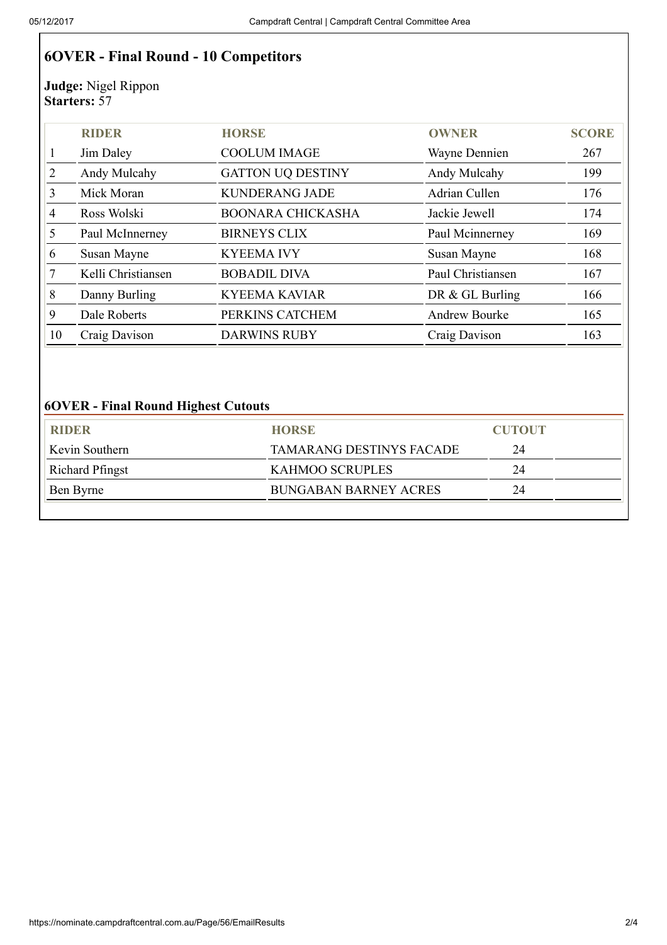# 6OVER - Final Round - 10 Competitors

Judge: Nigel Rippon Starters: 57

|    | <b>RIDER</b>       | <b>HORSE</b>             | <b>OWNER</b>         | <b>SCORE</b> |
|----|--------------------|--------------------------|----------------------|--------------|
|    | Jim Daley          | <b>COOLUM IMAGE</b>      | Wayne Dennien        | 267          |
| 2  | Andy Mulcahy       | <b>GATTON UQ DESTINY</b> | Andy Mulcahy         | 199          |
| 3  | Mick Moran         | <b>KUNDERANG JADE</b>    | Adrian Cullen        | 176          |
| 4  | Ross Wolski        | <b>BOONARA CHICKASHA</b> | Jackie Jewell        | 174          |
| 5  | Paul McInnerney    | <b>BIRNEYS CLIX</b>      | Paul Mcinnerney      | 169          |
| 6  | Susan Mayne        | <b>KYEEMA IVY</b>        | Susan Mayne          | 168          |
|    | Kelli Christiansen | <b>BOBADIL DIVA</b>      | Paul Christiansen    | 167          |
| 8  | Danny Burling      | <b>KYEEMA KAVIAR</b>     | DR & GL Burling      | 166          |
| 9  | Dale Roberts       | PERKINS CATCHEM          | <b>Andrew Bourke</b> | 165          |
| 10 | Craig Davison      | <b>DARWINS RUBY</b>      | Craig Davison        | 163          |

### 6OVER - Final Round Highest Cutouts

| <b>RIDER</b>           | <b>HORSE</b>                 | <b>CUTOUT</b> |  |
|------------------------|------------------------------|---------------|--|
| Kevin Southern         | TAMARANG DESTINYS FACADE     | 24            |  |
| <b>Richard Pfingst</b> | KAHMOO SCRUPLES              |               |  |
| Ben Byrne              | <b>BUNGABAN BARNEY ACRES</b> | 24            |  |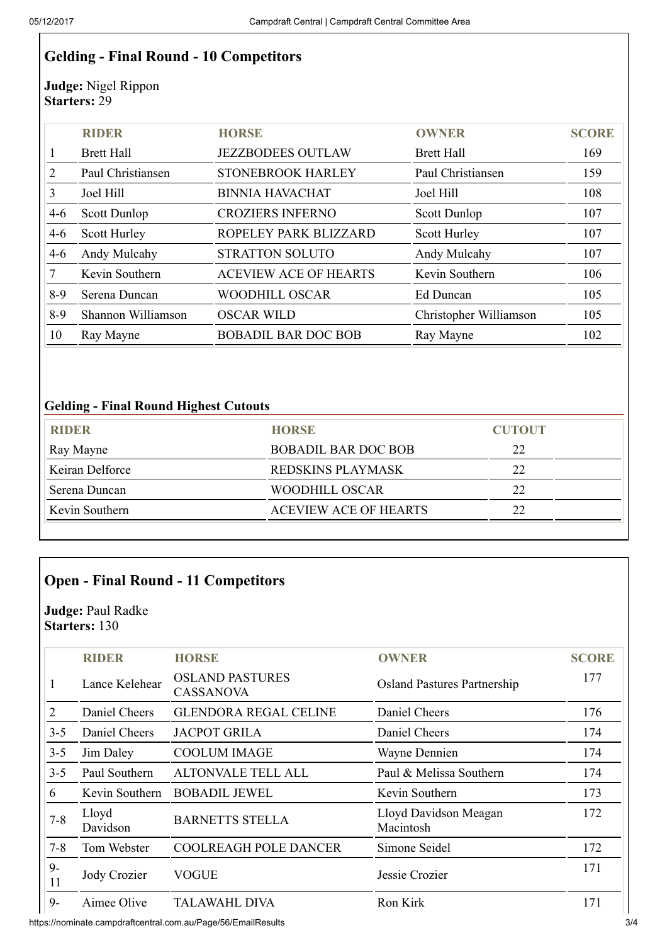# Gelding - Final Round - 10 Competitors

Judge: Nigel Rippon Starters: 29

|               | <b>RIDER</b>       | <b>HORSE</b>                 | <b>OWNER</b>           | <b>SCORE</b> |
|---------------|--------------------|------------------------------|------------------------|--------------|
|               | <b>Brett Hall</b>  | <b>JEZZBODEES OUTLAW</b>     | <b>Brett Hall</b>      | 169          |
| $\mathcal{D}$ | Paul Christiansen  | <b>STONEBROOK HARLEY</b>     | Paul Christiansen      | 159          |
| 3             | Joel Hill          | <b>BINNIA HAVACHAT</b>       | Joel Hill              | 108          |
| $4-6$         | Scott Dunlop       | <b>CROZIERS INFERNO</b>      | Scott Dunlop           | 107          |
| $4-6$         | Scott Hurley       | ROPELEY PARK BLIZZARD        | Scott Hurley           | 107          |
| $4-6$         | Andy Mulcahy       | <b>STRATTON SOLUTO</b>       | Andy Mulcahy           | 107          |
|               | Kevin Southern     | <b>ACEVIEW ACE OF HEARTS</b> | Kevin Southern         | 106          |
| $8-9$         | Serena Duncan      | <b>WOODHILL OSCAR</b>        | Ed Duncan              | 105          |
| $8-9$         | Shannon Williamson | <b>OSCAR WILD</b>            | Christopher Williamson | 105          |
| 10            | Ray Mayne          | <b>BOBADIL BAR DOC BOB</b>   | Ray Mayne              | 102          |

### Gelding - Final Round Highest Cutouts

| <b>RIDER</b>    | <b>HORSE</b>                 | <b>CUTOUT</b> |
|-----------------|------------------------------|---------------|
| Ray Mayne       | <b>BOBADIL BAR DOC BOB</b>   | 22            |
| Keiran Delforce | REDSKINS PLAYMASK            | 22            |
| Serena Duncan   | WOODHILL OSCAR               | 22            |
| Kevin Southern  | <b>ACEVIEW ACE OF HEARTS</b> | 22            |

# Open - Final Round - 11 Competitors

Judge: Paul Radke Starters: 130

|                             | <b>RIDER</b>      | <b>HORSE</b>                               | <b>OWNER</b>                       | <b>SCORE</b> |
|-----------------------------|-------------------|--------------------------------------------|------------------------------------|--------------|
| 1                           | Lance Kelehear    | <b>OSLAND PASTURES</b><br><b>CASSANOVA</b> | <b>Osland Pastures Partnership</b> | 177          |
| $\mathcal{D}_{\mathcal{L}}$ | Daniel Cheers     | <b>GLENDORA REGAL CELINE</b>               | Daniel Cheers                      | 176          |
| $3 - 5$                     | Daniel Cheers     | <b>JACPOT GRILA</b>                        | Daniel Cheers                      | 174          |
| $3 - 5$                     | Jim Daley         | <b>COOLUM IMAGE</b>                        | Wayne Dennien                      | 174          |
| $3 - 5$                     | Paul Southern     | ALTONVALE TELL ALL                         | Paul & Melissa Southern            | 174          |
| 6                           | Kevin Southern    | <b>BOBADIL JEWEL</b>                       | Kevin Southern                     | 173          |
| $7 - 8$                     | Lloyd<br>Davidson | <b>BARNETTS STELLA</b>                     | Lloyd Davidson Meagan<br>Macintosh | 172          |
| $7 - 8$                     | Tom Webster       | <b>COOLREAGH POLE DANCER</b>               | Simone Seidel                      | 172          |
| $9-$<br>11                  | Jody Crozier      | <b>VOGUE</b>                               | Jessie Crozier                     | 171          |
| $9-$                        | Aimee Olive       | <b>TALAWAHL DIVA</b>                       | Ron Kirk                           | 171          |

https://nominate.campdraftcentral.com.au/Page/56/EmailResults 3/4